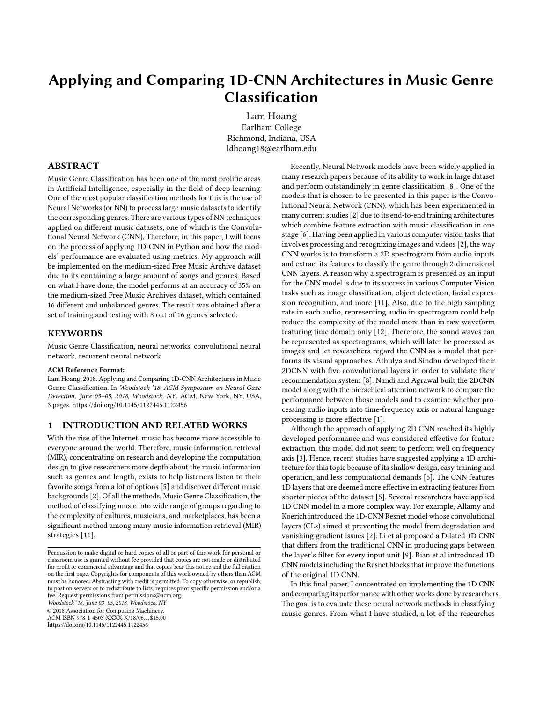# Applying and Comparing 1D-CNN Architectures in Music Genre Classification

Lam Hoang Earlham College Richmond, Indiana, USA ldhoang18@earlham.edu

# ABSTRACT

Music Genre Classification has been one of the most prolific areas in Artificial Intelligence, especially in the field of deep learning. One of the most popular classification methods for this is the use of Neural Networks (or NN) to process large music datasets to identify the corresponding genres. There are various types of NN techniques applied on different music datasets, one of which is the Convolutional Neural Network (CNN). Therefore, in this paper, I will focus on the process of applying 1D-CNN in Python and how the models' performance are evaluated using metrics. My approach will be implemented on the medium-sized Free Music Archive dataset due to its containing a large amount of songs and genres. Based on what I have done, the model performs at an accuracy of 35% on the medium-sized Free Music Archives dataset, which contained 16 different and unbalanced genres. The result was obtained after a set of training and testing with 8 out of 16 genres selected.

#### KEYWORDS

Music Genre Classification, neural networks, convolutional neural network, recurrent neural network

#### ACM Reference Format:

Lam Hoang. 2018. Applying and Comparing 1D-CNN Architectures in Music Genre Classification. In Woodstock '18: ACM Symposium on Neural Gaze Detection, June 03–05, 2018, Woodstock, NY. ACM, New York, NY, USA, [3](#page-2-0) pages.<https://doi.org/10.1145/1122445.1122456>

#### 1 INTRODUCTION AND RELATED WORKS

With the rise of the Internet, music has become more accessible to everyone around the world. Therefore, music information retrieval (MIR), concentrating on research and developing the computation design to give researchers more depth about the music information such as genres and length, exists to help listeners listen to their favorite songs from a lot of options [\[5\]](#page-2-1) and discover different music backgrounds [\[2\]](#page-2-2). Of all the methods, Music Genre Classification, the method of classifying music into wide range of groups regarding to the complexity of cultures, musicians, and marketplaces, has been a significant method among many music information retrieval (MIR) strategies [\[11\]](#page-2-3).

Woodstock '18, June 03–05, 2018, Woodstock, NY

© 2018 Association for Computing Machinery.

ACM ISBN 978-1-4503-XXXX-X/18/06. . . \$15.00 <https://doi.org/10.1145/1122445.1122456>

Recently, Neural Network models have been widely applied in many research papers because of its ability to work in large dataset and perform outstandingly in genre classification [\[8\]](#page-2-4). One of the models that is chosen to be presented in this paper is the Convolutional Neural Network (CNN), which has been experimented in many current studies [\[2\]](#page-2-2) due to its end-to-end training architectures which combine feature extraction with music classification in one stage [\[6\]](#page-2-5). Having been applied in various computer vision tasks that involves processing and recognizing images and videos [\[2\]](#page-2-2), the way CNN works is to transform a 2D spectrogram from audio inputs and extract its features to classify the genre through 2-dimensional CNN layers. A reason why a spectrogram is presented as an input for the CNN model is due to its success in various Computer Vision tasks such as image classification, object detection, facial expression recognition, and more [\[11\]](#page-2-3). Also, due to the high sampling rate in each audio, representing audio in spectrogram could help reduce the complexity of the model more than in raw waveform featuring time domain only [\[12\]](#page-2-6). Therefore, the sound waves can be represented as spectrograms, which will later be processed as images and let researchers regard the CNN as a model that performs its visual approaches. Athulya and Sindhu developed their 2DCNN with five convolutional layers in order to validate their recommendation system [\[8\]](#page-2-4). Nandi and Agrawal built the 2DCNN model along with the hierachical attention network to compare the performance between those models and to examine whether processing audio inputs into time-frequency axis or natural language processing is more effective [\[1\]](#page-2-7).

Although the approach of applying 2D CNN reached its highly developed performance and was considered effective for feature extraction, this model did not seem to perform well on frequency axis [\[3\]](#page-2-8). Hence, recent studies have suggested applying a 1D architecture for this topic because of its shallow design, easy training and operation, and less computational demands [\[5\]](#page-2-1). The CNN features 1D layers that are deemed more effective in extracting features from shorter pieces of the dataset [\[5\]](#page-2-1). Several researchers have applied 1D CNN model in a more complex way. For example, Allamy and Koerich introduced the 1D-CNN Resnet model whose convolutional layers (CLs) aimed at preventing the model from degradation and vanishing gradient issues [\[2\]](#page-2-2). Li et al proposed a Dilated 1D CNN that differs from the traditional CNN in producing gaps between the layer's filter for every input unit [\[9\]](#page-2-9). Bian et al introduced 1D CNN models including the Resnet blocks that improve the functions of the original 1D CNN.

In this final paper, I concentrated on implementing the 1D CNN and comparing its performance with other works done by researchers. The goal is to evaluate these neural network methods in classifying music genres. From what I have studied, a lot of the researches

Permission to make digital or hard copies of all or part of this work for personal or classroom use is granted without fee provided that copies are not made or distributed for profit or commercial advantage and that copies bear this notice and the full citation on the first page. Copyrights for components of this work owned by others than ACM must be honored. Abstracting with credit is permitted. To copy otherwise, or republish, to post on servers or to redistribute to lists, requires prior specific permission and/or a fee. Request permissions from permissions@acm.org.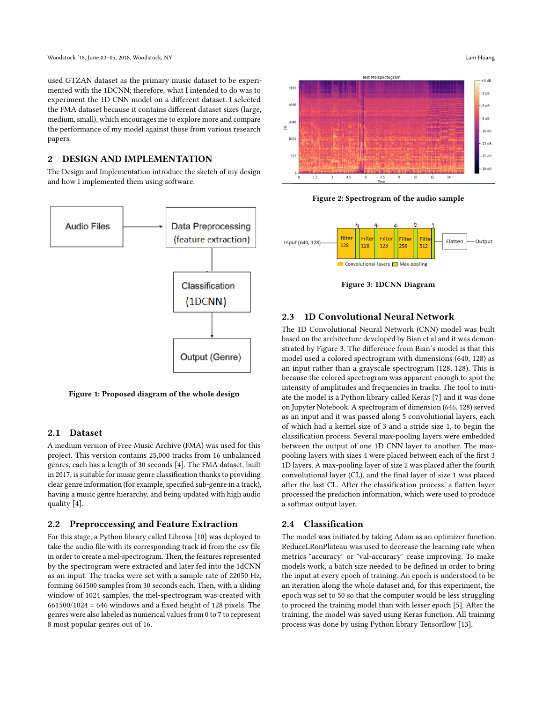Woodstock '18, June 03–05, 2018, Woodstock, NY Lam Hoang

used GTZAN dataset as the primary music dataset to be experimented with the 1DCNN; therefore, what I intended to do was to experiment the 1D CNN model on a different dataset. I selected the FMA dataset because it contains different dataset sizes (large, medium, small), which encourages me to explore more and compare the performance of my model against those from various research papers.

# 2 DESIGN AND IMPLEMENTATION

The Design and Implementation introduce the sketch of my design and how I implemented them using software.





# 2.1 Dataset

A medium version of Free Music Archive (FMA) was used for this project. This version contains 25,000 tracks from 16 unbalanced genres, each has a length of 30 seconds [\[4\]](#page-2-10). The FMA dataset, built in 2017, is suitable for music genre classification thanks to providing clear genre information (for example, specified sub-genre in a track), having a music genre hierarchy, and being updated with high audio quality [\[4\]](#page-2-10).

## 2.2 Preproccessing and Feature Extraction

For this stage, a Python library called Librosa [\[10\]](#page-2-11) was deployed to take the audio file with its corresponding track id from the csv file in order to create a mel-spectrogram. Then, the features represented by the spectrogram were extracted and later fed into the 1dCNN as an input. The tracks were set with a sample rate of 22050 Hz, forming 661500 samples from 30 seconds each. Then, with a sliding window of 1024 samples, the mel-spectrogram was created with  $661500/1024 = 646$  windows and a fixed height of 128 pixels. The genres were also labeled as numerical values from 0 to 7 to represent 8 most popular genres out of 16.



Figure 2: Spectrogram of the audio sample



Figure 3: 1DCNN Diagram

# 2.3 1D Convolutional Neural Network

The 1D Convolutional Neural Network (CNN) model was built based on the architecture developed by Bian et al and it was demonstrated by Figure 3. The difference from Bian's model is that this model used a colored spectrogram with dimensions (640, 128) as an input rather than a grayscale spectrogram (128, 128). This is because the colored spectrogram was apparent enough to spot the intensity of amplitudes and frequencies in tracks. The tool to initiate the model is a Python library called Keras [\[7\]](#page-2-12) and it was done on Jupyter Notebook. A spectrogram of dimension (646, 128) served as an input and it was passed along 5 convolutional layers, each of which had a kernel size of 3 and a stride size 1, to begin the classification process. Several max-pooling layers were embedded between the output of one 1D CNN layer to another. The maxpooling layers with sizes 4 were placed between each of the first 3 1D layers. A max-pooling layer of size 2 was placed after the fourth convolutional layer (CL), and the final layer of size 1 was placed after the last CL. After the classification process, a flatten layer processed the prediction information, which were used to produce a softmax output layer.

## 2.4 Classification

The model was initiated by taking Adam as an optimizer function. ReduceLRonPlateau was used to decrease the learning rate when metrics "accuracy" or "val-accuracy" cease improving. To make models work, a batch size needed to be defined in order to bring the input at every epoch of training. An epoch is understood to be an iteration along the whole dataset and, for this experiment, the epoch was set to 50 so that the computer would be less struggling to proceed the training model than with lesser epoch [\[5\]](#page-2-1). After the training, the model was saved using Keras function. All training process was done by using Python library Tensorflow [\[13\]](#page-2-13).